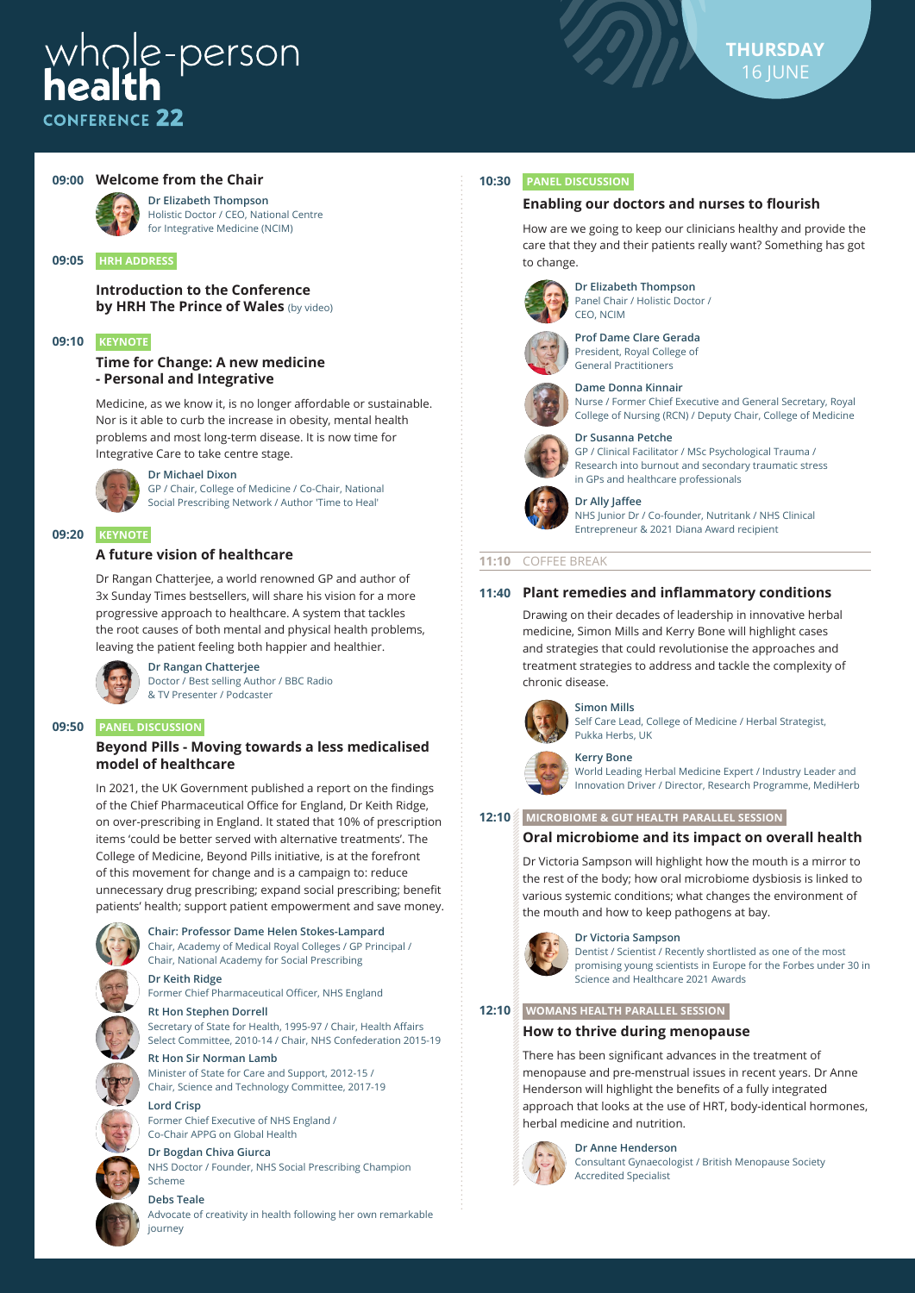# $whole-person$ *NEERENCE* 22



# **09:00 Welcome from the Chair**



# for Integrative Medicine (NCIM)

**Introduction to the Conference by HRH The Prince of Wales** (by video)

#### **09:10 KEYNOTE**

**09:05 HRH ADDRESS**

#### **Time for Change: A new medicine - Personal and Integrative**

Medicine, as we know it, is no longer affordable or sustainable. Nor is it able to curb the increase in obesity, mental health problems and most long-term disease. It is now time for Integrative Care to take centre stage.



# **09:20 KEYNOTE**

#### **A future vision of healthcare**

Dr Rangan Chatterjee, a world renowned GP and author of 3x Sunday Times bestsellers, will share his vision for a more progressive approach to healthcare. A system that tackles the root causes of both mental and physical health problems, leaving the patient feeling both happier and healthier.



**Dr Rangan Chatterjee** Doctor / Best selling Author / BBC Radio & TV Presenter / Podcaster

#### **09:50 PANEL DISCUSSION**

#### **Beyond Pills - Moving towards a less medicalised model of healthcare**

In 2021, the UK Government published a report on the findings of the Chief Pharmaceutical Office for England, Dr Keith Ridge, on over-prescribing in England. It stated that 10% of prescription items 'could be better served with alternative treatments'. The College of Medicine, Beyond Pills initiative, is at the forefront of this movement for change and is a campaign to: reduce unnecessary drug prescribing; expand social prescribing; benefit patients' health; support patient empowerment and save money.



**Chair: Professor Dame Helen Stokes-Lampard**

Chair, Academy of Medical Royal Colleges / GP Principal / Chair, National Academy for Social Prescribing

**Dr Keith Ridge** Former Chief Pharmaceutical Officer, NHS England

#### **Rt Hon Stephen Dorrell**

Secretary of State for Health, 1995-97 / Chair, Health Affairs Select Committee, 2010-14 / Chair, NHS Confederation 2015-19

#### **Rt Hon Sir Norman Lamb** Minister of State for Care and Support, 2012-15 /

Chair, Science and Technology Committee, 2017-19

# **Lord Crisp**

Former Chief Executive of NHS England / Co-Chair APPG on Global Health

# **Dr Bogdan Chiva Giurca**

NHS Doctor / Founder, NHS Social Prescribing Champion Scheme

# **Debs Teale**

journey

Advocate of creativity in health following her own remarkable

#### **10:30 PANEL DISCUSSION**

#### **Enabling our doctors and nurses to flourish**

How are we going to keep our clinicians healthy and provide the care that they and their patients really want? Something has got to change.



**Dr Elizabeth Thompson** Panel Chair / Holistic Doctor /



**Prof Dame Clare Gerada** President, Royal College of General Practitioners





College of Nursing (RCN) / Deputy Chair, College of Medicine **Dr Susanna Petche**

#### GP / Clinical Facilitator / MSc Psychological Trauma / Research into burnout and secondary traumatic stress in GPs and healthcare professionals

**Dr Ally Jaffee** NHS Junior Dr / Co-founder, Nutritank / NHS Clinical

Entrepreneur & 2021 Diana Award recipient

# **11:10** COFFEE BREAK

#### **11:40 Plant remedies and inflammatory conditions**

Drawing on their decades of leadership in innovative herbal medicine, Simon Mills and Kerry Bone will highlight cases and strategies that could revolutionise the approaches and treatment strategies to address and tackle the complexity of chronic disease.

# **Simon Mills**

Self Care Lead, College of Medicine / Herbal Strategist, Pukka Herbs, UK



**Kerry Bone** World Leading Herbal Medicine Expert / Industry Leader and

Innovation Driver / Director, Research Programme, MediHerb

#### **12:10 MICROBIOME & GUT HEALTH PARALLEL SESSION**

# **Oral microbiome and its impact on overall health**

Dr Victoria Sampson will highlight how the mouth is a mirror to the rest of the body; how oral microbiome dysbiosis is linked to various systemic conditions; what changes the environment of the mouth and how to keep pathogens at bay.



**Dr Victoria Sampson** Dentist / Scientist / Recently shortlisted as one of the most promising young scientists in Europe for the Forbes under 30 in Science and Healthcare 2021 Awards

#### **12:10 WOMANS HEALTH PARALLEL SESSION**

#### **How to thrive during menopause**

There has been significant advances in the treatment of menopause and pre-menstrual issues in recent years. Dr Anne Henderson will highlight the benefits of a fully integrated approach that looks at the use of HRT, body-identical hormones, herbal medicine and nutrition.



**Dr Anne Henderson** Consultant Gynaecologist / British Menopause Society Accredited Specialist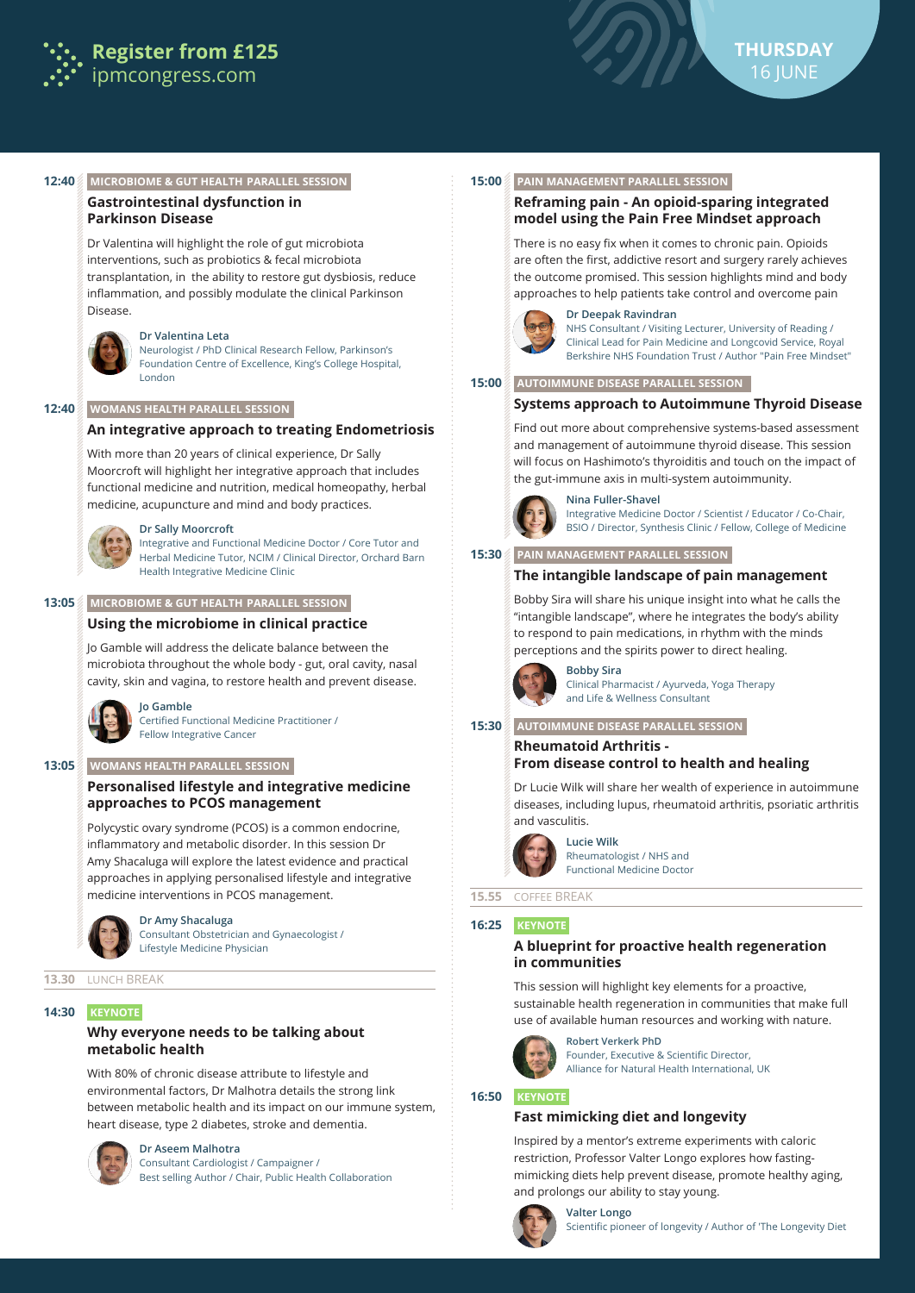



# **12:40 MICROBIOME & GUT HEALTH PARALLEL SESSION**

# **Gastrointestinal dysfunction in Parkinson Disease**

Dr Valentina will highlight the role of gut microbiota interventions, such as probiotics & fecal microbiota transplantation, in the ability to restore gut dysbiosis, reduce inflammation, and possibly modulate the clinical Parkinson Disease.



#### **Dr Valentina Leta**

Neurologist / PhD Clinical Research Fellow, Parkinson's Foundation Centre of Excellence, King's College Hospital, London

#### **12:40 WOMANS HEALTH PARALLEL SESSION**

#### **An integrative approach to treating Endometriosis**

With more than 20 years of clinical experience, Dr Sally Moorcroft will highlight her integrative approach that includes functional medicine and nutrition, medical homeopathy, herbal medicine, acupuncture and mind and body practices.



#### **Dr Sally Moorcroft**

Integrative and Functional Medicine Doctor / Core Tutor and Herbal Medicine Tutor, NCIM / Clinical Director, Orchard Barn Health Integrative Medicine Clinic

#### **13:05 MICROBIOME & GUT HEALTH PARALLEL SESSION**

#### **Using the microbiome in clinical practice**

Jo Gamble will address the delicate balance between the microbiota throughout the whole body - gut, oral cavity, nasal cavity, skin and vagina, to restore health and prevent disease.



Certified Functional Medicine Practitioner / Fellow Integrative Cancer

#### **13:05 WOMANS HEALTH PARALLEL SESSION**

**Jo Gamble**

# **Personalised lifestyle and integrative medicine approaches to PCOS management**

Polycystic ovary syndrome (PCOS) is a common endocrine, inflammatory and metabolic disorder. In this session Dr Amy Shacaluga will explore the latest evidence and practical approaches in applying personalised lifestyle and integrative medicine interventions in PCOS management.



**Dr Amy Shacaluga**

Consultant Obstetrician and Gynaecologist / Lifestyle Medicine Physician

#### **13.30** LUNCH BREAK

#### **14:30 KEYNOTE**

# **Why everyone needs to be talking about metabolic health**

With 80% of chronic disease attribute to lifestyle and environmental factors, Dr Malhotra details the strong link between metabolic health and its impact on our immune system, heart disease, type 2 diabetes, stroke and dementia.



# **Dr Aseem Malhotra**

Consultant Cardiologist / Campaigner / Best selling Author / Chair, Public Health Collaboration

#### **15:00 PAIN MANAGEMENT PARALLEL SESSION**

#### **Reframing pain - An opioid-sparing integrated model using the Pain Free Mindset approach**

There is no easy fix when it comes to chronic pain. Opioids are often the first, addictive resort and surgery rarely achieves the outcome promised. This session highlights mind and body approaches to help patients take control and overcome pain



#### **Dr Deepak Ravindran** NHS Consultant / Visiting Lecturer, University of Reading / Clinical Lead for Pain Medicine and Longcovid Service, Royal Berkshire NHS Foundation Trust / Author "Pain Free Mindset"

#### **15:00 AUTOIMMUNE DISEASE PARALLEL SESSION**

#### **Systems approach to Autoimmune Thyroid Disease**

Find out more about comprehensive systems-based assessment and management of autoimmune thyroid disease. This session will focus on Hashimoto's thyroiditis and touch on the impact of the gut-immune axis in multi-system autoimmunity.



#### **Nina Fuller-Shavel** Integrative Medicine Doctor / Scientist / Educator / Co-Chair, BSIO / Director, Synthesis Clinic / Fellow, College of Medicine

#### **15:30 PAIN MANAGEMENT PARALLEL SESSION**

#### **The intangible landscape of pain management**

Bobby Sira will share his unique insight into what he calls the "intangible landscape", where he integrates the body's ability to respond to pain medications, in rhythm with the minds perceptions and the spirits power to direct healing.



**Bobby Sira** Clinical Pharmacist / Ayurveda, Yoga Therapy and Life & Wellness Consultant

#### **15:30 AUTOIMMUNE DISEASE PARALLEL SESSION**

#### **Rheumatoid Arthritis - From disease control to health and healing**

Dr Lucie Wilk will share her wealth of experience in autoimmune diseases, including lupus, rheumatoid arthritis, psoriatic arthritis and vasculitis.



**Lucie Wilk** Rheumatologist / NHS and Functional Medicine Doctor

# **15.55** COFFEE BREAK

#### **16:25 KEYNOTE**

#### **A blueprint for proactive health regeneration in communities**

This session will highlight key elements for a proactive, sustainable health regeneration in communities that make full use of available human resources and working with nature.



**Robert Verkerk PhD** Founder, Executive & Scientific Director, Alliance for Natural Health International, UK

#### **16:50 KEYNOTE**

# **Fast mimicking diet and longevity**

Inspired by a mentor's extreme experiments with caloric restriction, Professor Valter Longo explores how fastingmimicking diets help prevent disease, promote healthy aging, and prolongs our ability to stay young.

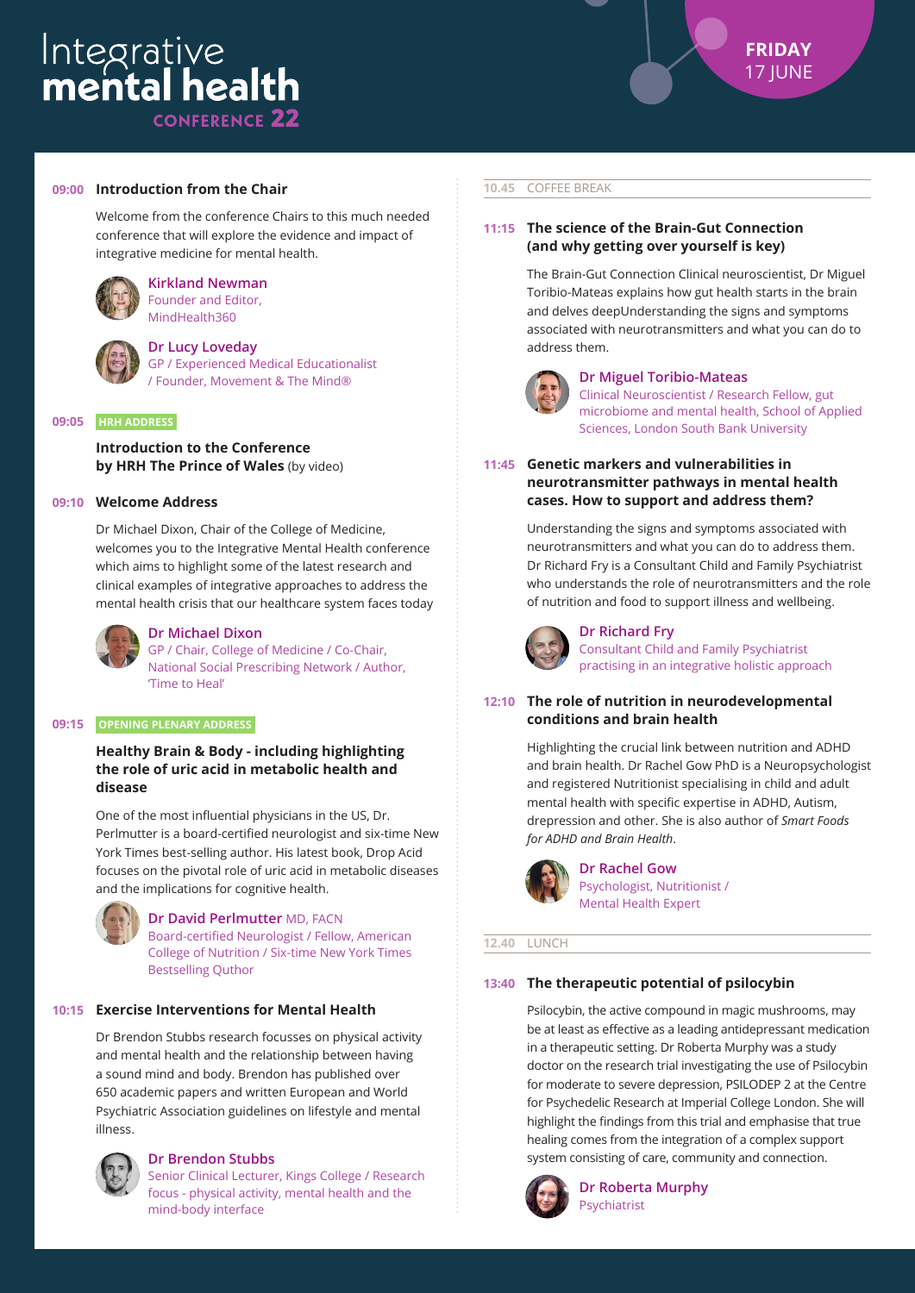#### **09:00 Introduction from the Chair**

Welcome from the conference Chairs to this much needed conference that will explore the evidence and impact of integrative medicine for mental health.



#### **Kirkland Newman** Founder and Editor, MindHealth360



#### **Dr Lucy Loveday**

GP / Experienced Medical Educationalist / Founder, Movement & The Mind®

#### **09:05 HRH ADDRESS**

**Introduction to the Conference by HRH The Prince of Wales** (by video)

#### **09:10 Welcome Address**

Dr Michael Dixon, Chair of the College of Medicine, welcomes you to the Integrative Mental Health conference which aims to highlight some of the latest research and clinical examples of integrative approaches to address the mental health crisis that our healthcare system faces today



# **Dr Michael Dixon**

GP / Chair, College of Medicine / Co-Chair, National Social Prescribing Network / Author, 'Time to Heal'

#### **09:15 OPENING PLENARY ADDRESS**

# **Healthy Brain & Body - including highlighting the role of uric acid in metabolic health and disease**

One of the most influential physicians in the US, Dr. Perlmutter is a board-certified neurologist and six-time New York Times best-selling author. His latest book, Drop Acid focuses on the pivotal role of uric acid in metabolic diseases and the implications for cognitive health.



**Dr David Perlmutter** MD, FACN Board-certified Neurologist / Fellow, American College of Nutrition / Six-time New York Times Bestselling Quthor

# **10:15 Exercise Interventions for Mental Health**

Dr Brendon Stubbs research focusses on physical activity and mental health and the relationship between having a sound mind and body. Brendon has published over 650 academic papers and written European and World Psychiatric Association guidelines on lifestyle and mental illness.



#### **Dr Brendon Stubbs**

Senior Clinical Lecturer, Kings College / Research focus - physical activity, mental health and the mind-body interface

#### **10.45** COFFEE BREAK

# **11:15 The science of the Brain-Gut Connection (and why getting over yourself is key)**

The Brain-Gut Connection Clinical neuroscientist, Dr Miguel Toribio-Mateas explains how gut health starts in the brain and delves deepUnderstanding the signs and symptoms associated with neurotransmitters and what you can do to address them.



#### **Dr Miguel Toribio-Mateas**

Clinical Neuroscientist / Research Fellow, gut microbiome and mental health, School of Applied Sciences, London South Bank University

**11:45 Genetic markers and vulnerabilities in neurotransmitter pathways in mental health cases. How to support and address them?**

> Understanding the signs and symptoms associated with neurotransmitters and what you can do to address them. Dr Richard Fry is a Consultant Child and Family Psychiatrist who understands the role of neurotransmitters and the role of nutrition and food to support illness and wellbeing.



# **Dr Richard Fry**

Consultant Child and Family Psychiatrist practising in an integrative holistic approach

# **12:10 The role of nutrition in neurodevelopmental conditions and brain health**

Highlighting the crucial link between nutrition and ADHD and brain health. Dr Rachel Gow PhD is a Neuropsychologist and registered Nutritionist specialising in child and adult mental health with specific expertise in ADHD, Autism, drepression and other. She is also author of *Smart Foods for ADHD and Brain Health*.



**Dr Rachel Gow** Psychologist, Nutritionist / Mental Health Expert

#### **12.40** LUNCH

# **13:40 The therapeutic potential of psilocybin**

Psilocybin, the active compound in magic mushrooms, may be at least as effective as a leading antidepressant medication in a therapeutic setting. Dr Roberta Murphy was a study doctor on the research trial investigating the use of Psilocybin for moderate to severe depression, PSILODEP 2 at the Centre for Psychedelic Research at Imperial College London. She will highlight the findings from this trial and emphasise that true healing comes from the integration of a complex support system consisting of care, community and connection.



**Dr Roberta Murphy** Psychiatrist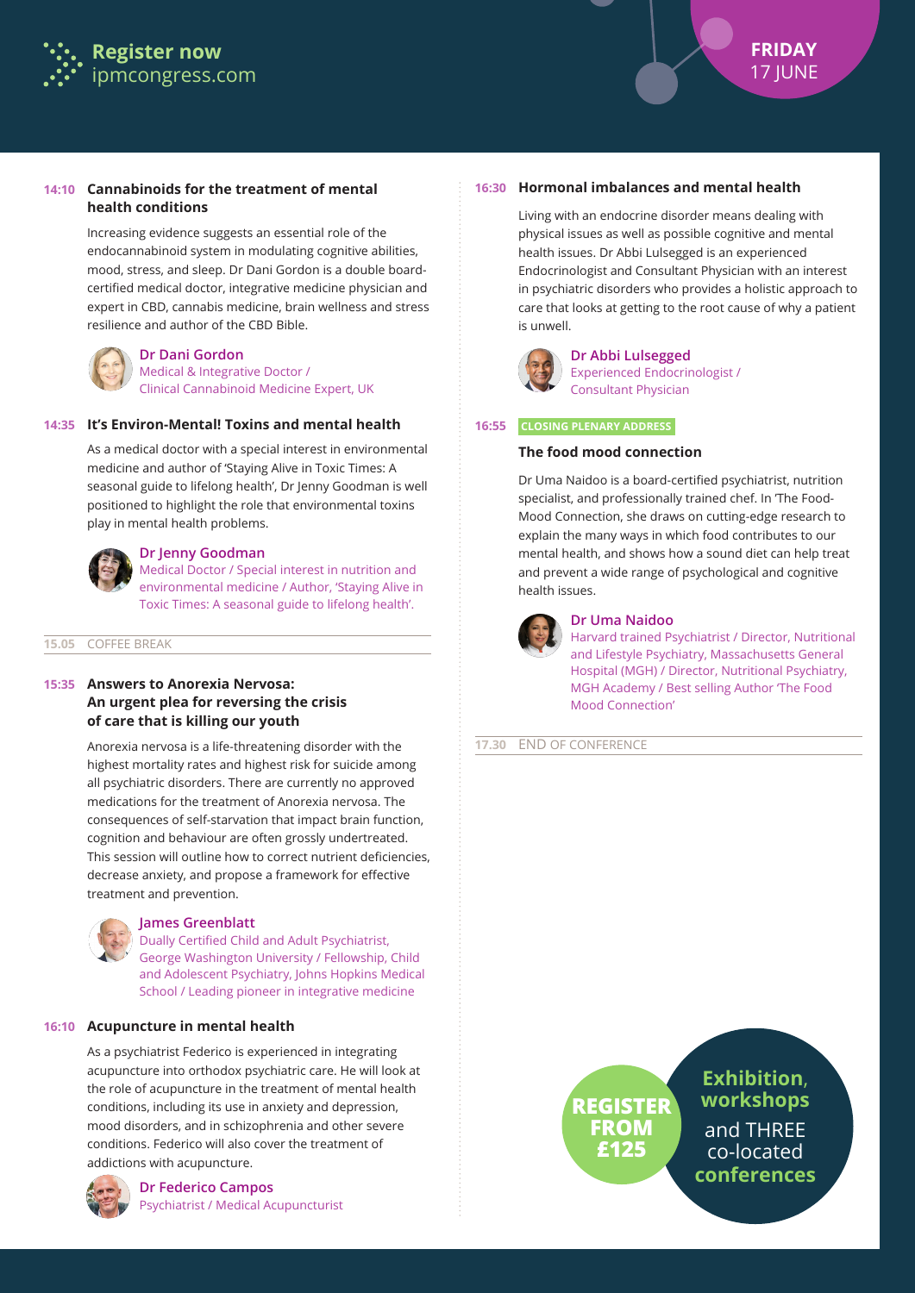

# **14:10 Cannabinoids for the treatment of mental health conditions**

Increasing evidence suggests an essential role of the endocannabinoid system in modulating cognitive abilities, mood, stress, and sleep. Dr Dani Gordon is a double boardcertified medical doctor, integrative medicine physician and expert in CBD, cannabis medicine, brain wellness and stress resilience and author of the CBD Bible.



# **Dr Dani Gordon**

Medical & Integrative Doctor / Clinical Cannabinoid Medicine Expert, UK

# **14:35 It's Environ-Mental! Toxins and mental health**

As a medical doctor with a special interest in environmental medicine and author of 'Staying Alive in Toxic Times: A seasonal guide to lifelong health', Dr Jenny Goodman is well positioned to highlight the role that environmental toxins play in mental health problems.



# **Dr Jenny Goodman**

Medical Doctor / Special interest in nutrition and environmental medicine / Author, 'Staying Alive in Toxic Times: A seasonal guide to lifelong health'.

#### **15.05** COFFEE BREAK

# **15:35 Answers to Anorexia Nervosa: An urgent plea for reversing the crisis of care that is killing our youth**

Anorexia nervosa is a life-threatening disorder with the highest mortality rates and highest risk for suicide among all psychiatric disorders. There are currently no approved medications for the treatment of Anorexia nervosa. The consequences of self-starvation that impact brain function, cognition and behaviour are often grossly undertreated. This session will outline how to correct nutrient deficiencies, decrease anxiety, and propose a framework for effective treatment and prevention.



#### **James Greenblatt**

Dually Certified Child and Adult Psychiatrist, George Washington University / Fellowship, Child and Adolescent Psychiatry, Johns Hopkins Medical School / Leading pioneer in integrative medicine

# **16:10 Acupuncture in mental health**

As a psychiatrist Federico is experienced in integrating acupuncture into orthodox psychiatric care. He will look at the role of acupuncture in the treatment of mental health conditions, including its use in anxiety and depression, mood disorders, and in schizophrenia and other severe conditions. Federico will also cover the treatment of addictions with acupuncture.



**Dr Federico Campos** Psychiatrist / Medical Acupuncturist

# **16:30 Hormonal imbalances and mental health**

Living with an endocrine disorder means dealing with physical issues as well as possible cognitive and mental health issues. Dr Abbi Lulsegged is an experienced Endocrinologist and Consultant Physician with an interest in psychiatric disorders who provides a holistic approach to care that looks at getting to the root cause of why a patient is unwell.



#### **Dr Abbi Lulsegged** Experienced Endocrinologist / Consultant Physician

#### **16:55 CLOSING PLENARY ADDRESS**

#### **The food mood connection**

Dr Uma Naidoo is a board-certified psychiatrist, nutrition specialist, and professionally trained chef. In 'The Food-Mood Connection, she draws on cutting-edge research to explain the many ways in which food contributes to our mental health, and shows how a sound diet can help treat and prevent a wide range of psychological and cognitive health issues.



#### **Dr Uma Naidoo**

Harvard trained Psychiatrist / Director, Nutritional and Lifestyle Psychiatry, Massachusetts General Hospital (MGH) / Director, Nutritional Psychiatry, MGH Academy / Best selling Author 'The Food Mood Connection'

#### **17.30** END OF CONFERENCE

# **REGISTER FROM £125**

**Exhibition**, **workshops** and THREE co-located **conferences**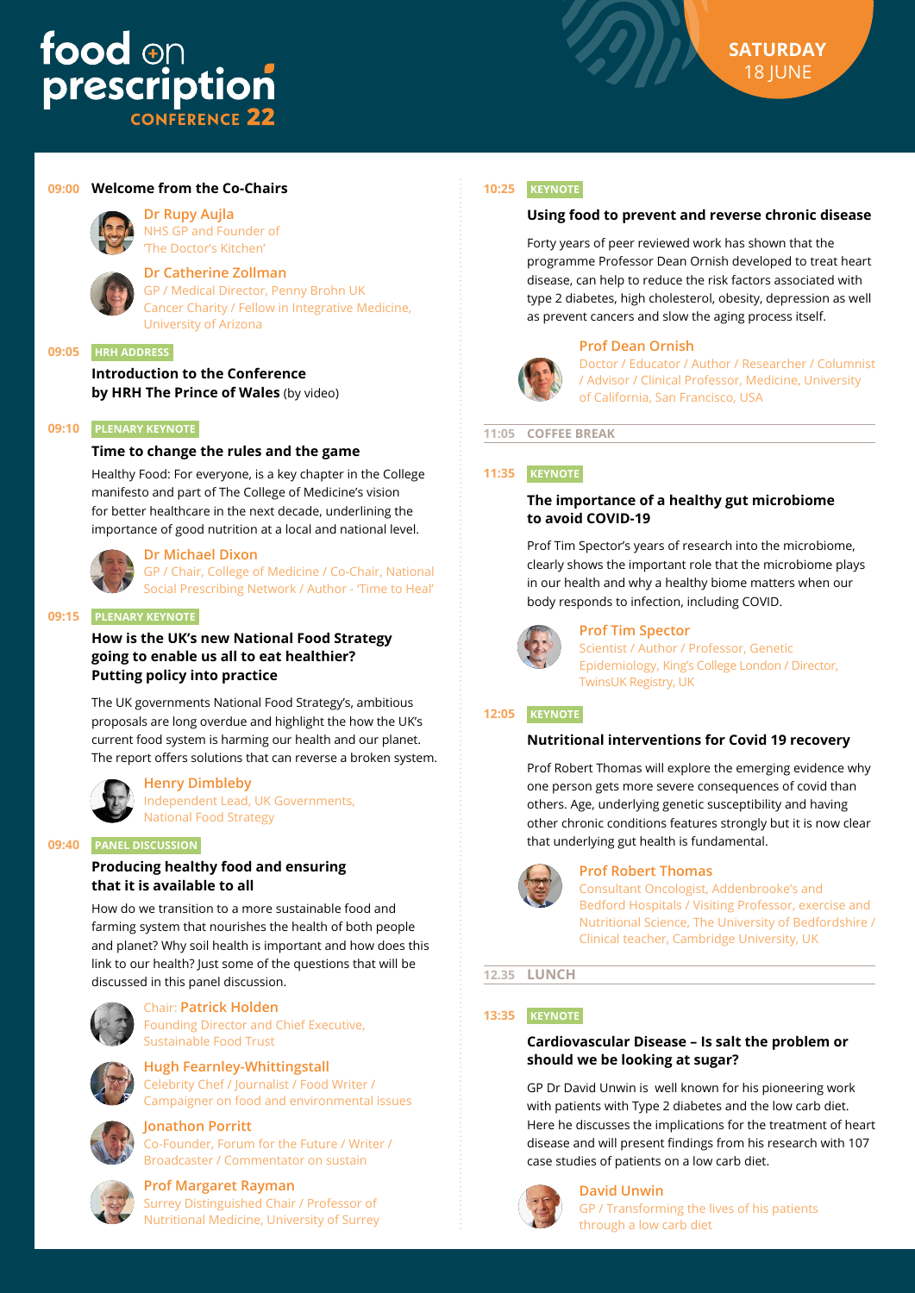# food on<br>prescription **FRENCE 22**



# **09:00 Welcome from the Co-Chairs**

# **Dr Rupy Aujla**

NHS GP and Founder of 'The Doctor's Kitchen'

# **Dr Catherine Zollman**

GP / Medical Director, Penny Brohn UK Cancer Charity / Fellow in Integrative Medicine, University of Arizona

#### **09:05 HRH ADDRESS**

**Introduction to the Conference by HRH The Prince of Wales** (by video)

# **09:10 PLENARY KEYNOTE**

# **Time to change the rules and the game**

Healthy Food: For everyone, is a key chapter in the College manifesto and part of The College of Medicine's vision for better healthcare in the next decade, underlining the importance of good nutrition at a local and national level.

#### **Dr Michael Dixon**

GP / Chair, College of Medicine / Co-Chair, National Social Prescribing Network / Author - 'Time to Heal'

# **09:15 PLENARY KEYNOTE**

**How is the UK's new National Food Strategy going to enable us all to eat healthier? Putting policy into practice**

The UK governments National Food Strategy's, ambitious proposals are long overdue and highlight the how the UK's current food system is harming our health and our planet. The report offers solutions that can reverse a broken system.



**Henry Dimbleby** Independent Lead, UK Governments, National Food Strategy

# **09:40 PANEL DISCUSSION**

# **Producing healthy food and ensuring that it is available to all**

How do we transition to a more sustainable food and farming system that nourishes the health of both people and planet? Why soil health is important and how does this link to our health? Just some of the questions that will be discussed in this panel discussion.



#### Chair: **Patrick Holden** Founding Director and Chief Executive, Sustainable Food Trust

**Hugh Fearnley-Whittingstall** Celebrity Chef / Journalist / Food Writer / Campaigner on food and environmental issues



# **Jonathon Porritt**

Co-Founder, Forum for the Future / Writer / Broadcaster / Commentator on sustain



# **Prof Margaret Rayman**

Surrey Distinguished Chair / Professor of Nutritional Medicine, University of Surrey

# **10:25 KEYNOTE**

# **Using food to prevent and reverse chronic disease**

Forty years of peer reviewed work has shown that the programme Professor Dean Ornish developed to treat heart disease, can help to reduce the risk factors associated with type 2 diabetes, high cholesterol, obesity, depression as well as prevent cancers and slow the aging process itself.

#### **Prof Dean Ornish**



Doctor / Educator / Author / Researcher / Columnist / Advisor / Clinical Professor, Medicine, University of California, San Francisco, USA

**11:05 COFFEE BREAK**

#### **11:35 KEYNOTE**

# **The importance of a healthy gut microbiome to avoid COVID-19**

Prof Tim Spector's years of research into the microbiome, clearly shows the important role that the microbiome plays in our health and why a healthy biome matters when our body responds to infection, including COVID.



# **Prof Tim Spector**

Scientist / Author / Professor, Genetic Epidemiology, King's College London / Director, TwinsUK Registry, UK

#### **12:05 KEYNOTE**

#### **Nutritional interventions for Covid 19 recovery**

Prof Robert Thomas will explore the emerging evidence why one person gets more severe consequences of covid than others. Age, underlying genetic susceptibility and having other chronic conditions features strongly but it is now clear that underlying gut health is fundamental.



#### **Prof Robert Thomas**

Consultant Oncologist, Addenbrooke's and Bedford Hospitals / Visiting Professor, exercise and Nutritional Science, The University of Bedfordshire / Clinical teacher, Cambridge University, UK

# **12.35 LUNCH**

# **13:35 KEYNOTE**

# **Cardiovascular Disease – Is salt the problem or should we be looking at sugar?**

GP Dr David Unwin is well known for his pioneering work with patients with Type 2 diabetes and the low carb diet. Here he discusses the implications for the treatment of heart disease and will present findings from his research with 107 case studies of patients on a low carb diet.



#### **David Unwin**

GP / Transforming the lives of his patients through a low carb diet